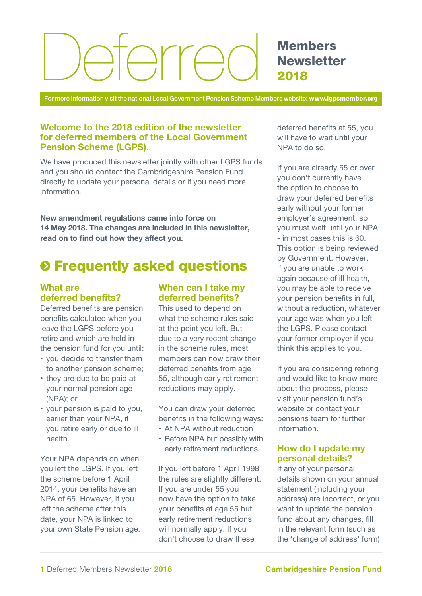# Arrei

**Members Newsletter** 2018

For more information visit the national Local Government Pension Scheme Members website: www.lgpsmember.org

## Welcome to the 2018 edition of the newsletter for deferred members of the Local Government Pension Scheme (LGPS).

We have produced this newsletter jointly with other LGPS funds and you should contact the Cambridgeshire Pension Fund directly to update your personal details or if you need more information.

New amendment regulations came into force on 14 May 2018. The changes are included in this newsletter, read on to find out how they affect you.

# $\odot$  **Frequently asked questions**

## What are deferred benefits?

Deferred benefits are pension benefits calculated when you leave the LGPS before you retire and which are held in the pension fund for you until:

- you decide to transfer them to another pension scheme;
- they are due to be paid at your normal pension age (NPA); or
- your pension is paid to you, earlier than your NPA, if you retire early or due to ill health.

Your NPA depends on when you left the LGPS. If you left the scheme before 1 April 2014, your benefits have an NPA of 65. However, if you left the scheme after this date, your NPA is linked to your own State Pension age.

## When can I take my deferred benefits?

This used to depend on what the scheme rules said at the point you left. But due to a very recent change in the scheme rules, most members can now draw their deferred benefits from age 55, although early retirement reductions may apply.

You can draw your deferred benefits in the following ways:

- At NPA without reduction
- Before NPA but possibly with early retirement reductions

If you left before 1 April 1998 the rules are slightly different. If you are under 55 you now have the option to take your benefits at age 55 but early retirement reductions will normally apply. If you don't choose to draw these

deferred benefits at 55, you will have to wait until your NPA to do so.

If you are already 55 or over you don't currently have the option to choose to draw your deferred benefits early without your former employer's agreement, so you must wait until your NPA - in most cases this is 60. This option is being reviewed by Government. However, if you are unable to work again because of ill health, you may be able to receive your pension benefits in full, without a reduction, whatever your age was when you left the LGPS. Please contact your former employer if you think this applies to you.

If you are considering retiring and would like to know more about the process, please visit your pension fund's website or contact your pensions team for further information.

## How do I update my personal details?

If any of your personal details shown on your annual statement (including your address) are incorrect, or you want to update the pension fund about any changes, fill in the relevant form (such as the 'change of address' form)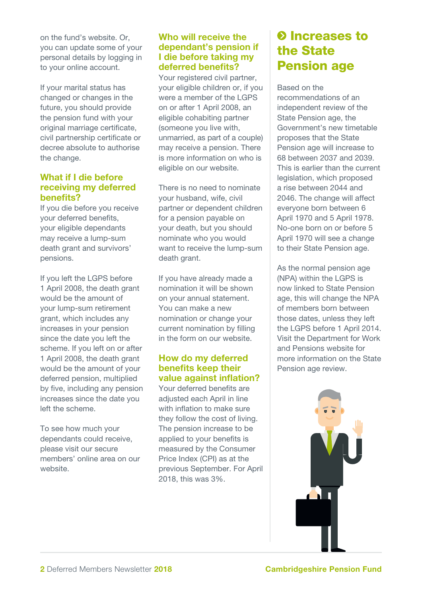on the fund's website. Or, you can update some of your personal details by logging in to your online account.

If your marital status has changed or changes in the future, you should provide the pension fund with your original marriage certificate, civil partnership certificate or decree absolute to authorise the change.

## What if I die before receiving my deferred benefits?

If you die before you receive your deferred benefits, your eligible dependants may receive a lump-sum death grant and survivors' pensions.

If you left the LGPS before 1 April 2008, the death grant would be the amount of your lump-sum retirement grant, which includes any increases in your pension since the date you left the scheme. If you left on or after 1 April 2008, the death grant would be the amount of your deferred pension, multiplied by five, including any pension increases since the date you left the scheme.

To see how much your dependants could receive, please visit our secure members' online area on our website.

## Who will receive the dependant's pension if I die before taking my deferred benefits?

Your registered civil partner, your eligible children or, if you were a member of the LGPS on or after 1 April 2008, an eligible cohabiting partner (someone you live with, unmarried, as part of a couple) may receive a pension. There is more information on who is eligible on our website.

There is no need to nominate your husband, wife, civil partner or dependent children for a pension payable on your death, but you should nominate who you would want to receive the lump-sum death grant.

If you have already made a nomination it will be shown on your annual statement. You can make a new nomination or change your current nomination by filling in the form on our website.

## How do my deferred benefits keep their value against inflation?

Your deferred benefits are adjusted each April in line with inflation to make sure they follow the cost of living. The pension increase to be applied to your benefits is measured by the Consumer Price Index (CPI) as at the previous September. For April 2018, this was 3%.

# **O** Increases to the State Pension age

Based on the recommendations of an independent review of the State Pension age, the Government's new timetable proposes that the State Pension age will increase to 68 between 2037 and 2039. This is earlier than the current legislation, which proposed a rise between 2044 and 2046. The change will affect everyone born between 6 April 1970 and 5 April 1978. No-one born on or before 5 April 1970 will see a change to their State Pension age.

As the normal pension age (NPA) within the LGPS is now linked to State Pension age, this will change the NPA of members born between those dates, unless they left the LGPS before 1 April 2014. Visit the Department for Work and Pensions website for more information on the State Pension age review.

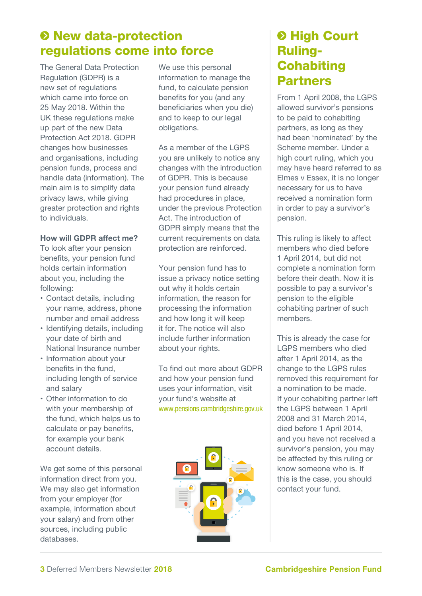# $\odot$  **New data-protection** regulations come into force

The General Data Protection Regulation (GDPR) is a new set of regulations which came into force on 25 May 2018. Within the UK these regulations make up part of the new Data Protection Act 2018. GDPR changes how businesses and organisations, including pension funds, process and handle data (information). The main aim is to simplify data privacy laws, while giving greater protection and rights to individuals.

## How will GDPR affect me?

To look after your pension benefits, your pension fund holds certain information about you, including the following:

- Contact details, including your name, address, phone number and email address
- Identifying details, including your date of birth and National Insurance number
- Information about your benefits in the fund, including length of service and salary
- Other information to do with your membership of the fund, which helps us to calculate or pay benefits, for example your bank account details.

We get some of this personal information direct from you. We may also get information from your employer (for example, information about your salary) and from other sources, including public databases.

We use this personal information to manage the fund, to calculate pension benefits for you (and any beneficiaries when you die) and to keep to our legal obligations.

As a member of the LGPS you are unlikely to notice any changes with the introduction of GDPR. This is because your pension fund already had procedures in place, under the previous Protection Act. The introduction of GDPR simply means that the current requirements on data protection are reinforced.

Your pension fund has to issue a privacy notice setting out why it holds certain information, the reason for processing the information and how long it will keep it for. The notice will also include further information about your rights.

To find out more about GDPR and how your pension fund uses your information, visit your fund's website at www.pensions.cambridgeshire.gov.uk



# **& High Court** Ruling-**Cohabiting** Partners

From 1 April 2008, the LGPS allowed survivor's pensions to be paid to cohabiting partners, as long as they had been 'nominated' by the Scheme member. Under a high court ruling, which you may have heard referred to as Elmes v Essex, it is no longer necessary for us to have received a nomination form in order to pay a survivor's pension.

This ruling is likely to affect members who died before 1 April 2014, but did not complete a nomination form before their death. Now it is possible to pay a survivor's pension to the eligible cohabiting partner of such members.

This is already the case for LGPS members who died after 1 April 2014, as the change to the LGPS rules removed this requirement for a nomination to be made. If your cohabiting partner left the LGPS between 1 April 2008 and 31 March 2014, died before 1 April 2014, and you have not received a survivor's pension, you may be affected by this ruling or know someone who is. If this is the case, you should contact your fund.